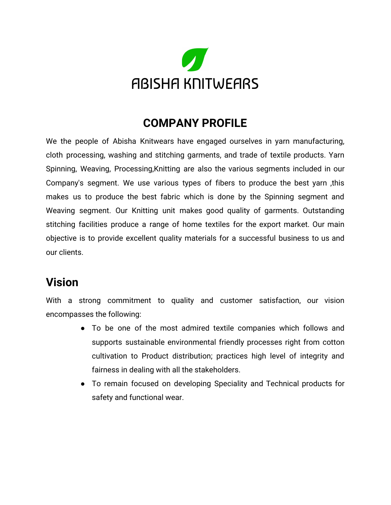

#### **COMPANY PROFILE**

We the people of Abisha Knitwears have engaged ourselves in yarn manufacturing, cloth processing, washing and stitching garments, and trade of textile products. Yarn Spinning, Weaving, Processing,Knitting are also the various segments included in our Company's segment. We use various types of fibers to produce the best yarn ,this makes us to produce the best fabric which is done by the Spinning segment and Weaving segment. Our Knitting unit makes good quality of garments. Outstanding stitching facilities produce a range of home textiles for the export market. Our main objective is to provide excellent quality materials for a successful business to us and our clients.

#### **Vision**

With a strong commitment to quality and customer satisfaction, our vision encompasses the following:

- To be one of the most admired textile companies which follows and supports sustainable environmental friendly processes right from cotton cultivation to Product distribution; practices high level of integrity and fairness in dealing with all the stakeholders.
- To remain focused on developing Speciality and Technical products for safety and functional wear.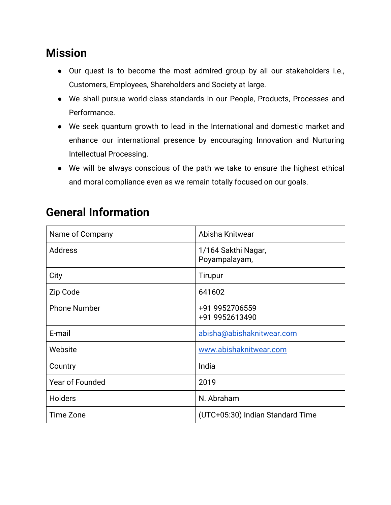## **Mission**

- Our quest is to become the most admired group by all our stakeholders i.e., Customers, Employees, Shareholders and Society at large.
- We shall pursue world-class standards in our People, Products, Processes and Performance.
- We seek quantum growth to lead in the International and domestic market and enhance our international presence by encouraging Innovation and Nurturing Intellectual Processing.
- We will be always conscious of the path we take to ensure the highest ethical and moral compliance even as we remain totally focused on our goals.

| Name of Company        | Abisha Knitwear                      |
|------------------------|--------------------------------------|
| Address                | 1/164 Sakthi Nagar,<br>Poyampalayam, |
| City                   | Tirupur                              |
| Zip Code               | 641602                               |
| <b>Phone Number</b>    | +91 9952706559<br>+91 9952613490     |
| E-mail                 | abisha@abishaknitwear.com            |
| Website                | www.abishaknitwear.com               |
| Country                | India                                |
| <b>Year of Founded</b> | 2019                                 |
| <b>Holders</b>         | N. Abraham                           |
| Time Zone              | (UTC+05:30) Indian Standard Time     |

## **General Information**